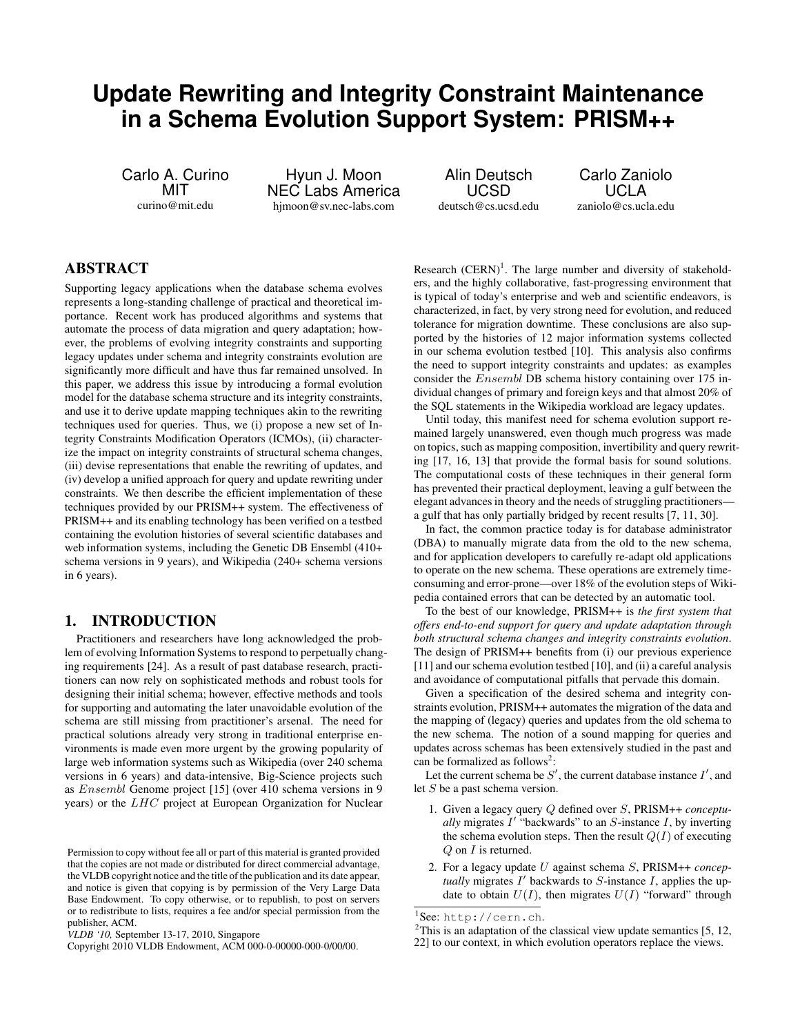# **Update Rewriting and Integrity Constraint Maintenance in a Schema Evolution Support System: PRISM++**

Carlo A. Curino MIT curino@mit.edu

Hyun J. Moon NEC Labs America hjmoon@sv.nec-labs.com

Alin Deutsch UCSD deutsch@cs.ucsd.edu

Carlo Zaniolo UCLA zaniolo@cs.ucla.edu

# ABSTRACT

Supporting legacy applications when the database schema evolves represents a long-standing challenge of practical and theoretical importance. Recent work has produced algorithms and systems that automate the process of data migration and query adaptation; however, the problems of evolving integrity constraints and supporting legacy updates under schema and integrity constraints evolution are significantly more difficult and have thus far remained unsolved. In this paper, we address this issue by introducing a formal evolution model for the database schema structure and its integrity constraints, and use it to derive update mapping techniques akin to the rewriting techniques used for queries. Thus, we (i) propose a new set of Integrity Constraints Modification Operators (ICMOs), (ii) characterize the impact on integrity constraints of structural schema changes, (iii) devise representations that enable the rewriting of updates, and (iv) develop a unified approach for query and update rewriting under constraints. We then describe the efficient implementation of these techniques provided by our PRISM++ system. The effectiveness of PRISM++ and its enabling technology has been verified on a testbed containing the evolution histories of several scientific databases and web information systems, including the Genetic DB Ensembl (410+ schema versions in 9 years), and Wikipedia (240+ schema versions in 6 years).

# 1. INTRODUCTION

Practitioners and researchers have long acknowledged the problem of evolving Information Systems to respond to perpetually changing requirements [24]. As a result of past database research, practitioners can now rely on sophisticated methods and robust tools for designing their initial schema; however, effective methods and tools for supporting and automating the later unavoidable evolution of the schema are still missing from practitioner's arsenal. The need for practical solutions already very strong in traditional enterprise environments is made even more urgent by the growing popularity of large web information systems such as Wikipedia (over 240 schema versions in 6 years) and data-intensive, Big-Science projects such as Ensembl Genome project [15] (over 410 schema versions in 9 years) or the LHC project at European Organization for Nuclear

*VLDB '10,* September 13-17, 2010, Singapore

Research  $(CERN)^1$ . The large number and diversity of stakeholders, and the highly collaborative, fast-progressing environment that is typical of today's enterprise and web and scientific endeavors, is characterized, in fact, by very strong need for evolution, and reduced tolerance for migration downtime. These conclusions are also supported by the histories of 12 major information systems collected in our schema evolution testbed [10]. This analysis also confirms the need to support integrity constraints and updates: as examples consider the Ensembl DB schema history containing over 175 individual changes of primary and foreign keys and that almost 20% of the SQL statements in the Wikipedia workload are legacy updates.

Until today, this manifest need for schema evolution support remained largely unanswered, even though much progress was made on topics, such as mapping composition, invertibility and query rewriting [17, 16, 13] that provide the formal basis for sound solutions. The computational costs of these techniques in their general form has prevented their practical deployment, leaving a gulf between the elegant advances in theory and the needs of struggling practitioners a gulf that has only partially bridged by recent results [7, 11, 30].

In fact, the common practice today is for database administrator (DBA) to manually migrate data from the old to the new schema, and for application developers to carefully re-adapt old applications to operate on the new schema. These operations are extremely timeconsuming and error-prone—over 18% of the evolution steps of Wikipedia contained errors that can be detected by an automatic tool.

To the best of our knowledge, PRISM++ is *the first system that offers end-to-end support for query and update adaptation through both structural schema changes and integrity constraints evolution*. The design of PRISM++ benefits from (i) our previous experience [11] and our schema evolution testbed [10], and (ii) a careful analysis and avoidance of computational pitfalls that pervade this domain.

Given a specification of the desired schema and integrity constraints evolution, PRISM++ automates the migration of the data and the mapping of (legacy) queries and updates from the old schema to the new schema. The notion of a sound mapping for queries and updates across schemas has been extensively studied in the past and can be formalized as follows<sup>2</sup>:

Let the current schema be  $S'$ , the current database instance  $I'$ , and let S be a past schema version.

- 1. Given a legacy query Q defined over S, PRISM++ *conceptually* migrates  $I'$  "backwards" to an  $S$ -instance  $I$ , by inverting the schema evolution steps. Then the result  $Q(I)$  of executing Q on I is returned.
- 2. For a legacy update U against schema S, PRISM++ *concep*tually migrates  $I'$  backwards to  $S$ -instance  $I$ , applies the update to obtain  $U(I)$ , then migrates  $U(I)$  "forward" through

 $2$ This is an adaptation of the classical view update semantics [5, 12,

Permission to copy without fee all or part of this material is granted provided that the copies are not made or distributed for direct commercial advantage, the VLDB copyright notice and the title of the publication and its date appear, and notice is given that copying is by permission of the Very Large Data Base Endowment. To copy otherwise, or to republish, to post on servers or to redistribute to lists, requires a fee and/or special permission from the publisher, ACM.

Copyright 2010 VLDB Endowment, ACM 000-0-00000-000-0/00/00.

<sup>1</sup> See: http://cern.ch.

<sup>22]</sup> to our context, in which evolution operators replace the views.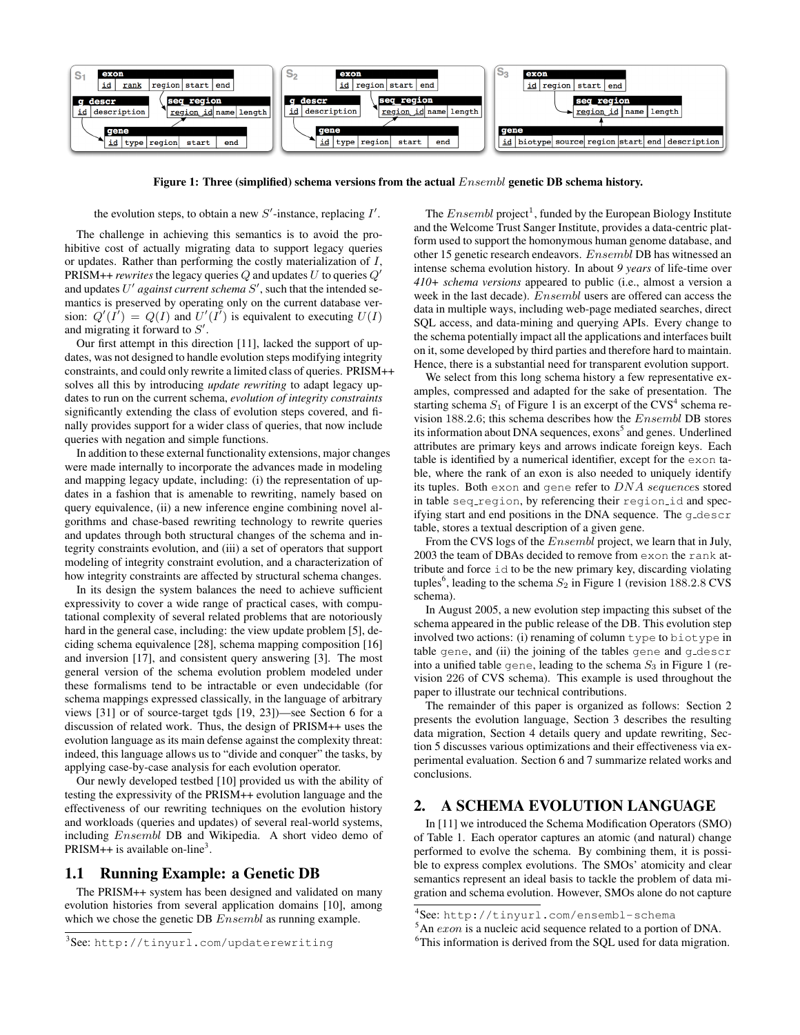

Figure 1: Three (simplified) schema versions from the actual  $Ensembl$  genetic DB schema history.

the evolution steps, to obtain a new  $S'$ -instance, replacing  $I'$ .

The challenge in achieving this semantics is to avoid the prohibitive cost of actually migrating data to support legacy queries or updates. Rather than performing the costly materialization of I, PRISM++ *rewrites* the legacy queries  $Q$  and updates  $U$  to queries  $Q'$ and updates  $U'$  against current schema  $S'$ , such that the intended semantics is preserved by operating only on the current database version:  $Q'(\tilde{I'}) = Q(I)$  and  $U'(I')$  is equivalent to executing  $U(I)$ and migrating it forward to  $S'$ .

Our first attempt in this direction [11], lacked the support of updates, was not designed to handle evolution steps modifying integrity constraints, and could only rewrite a limited class of queries. PRISM++ solves all this by introducing *update rewriting* to adapt legacy updates to run on the current schema, *evolution of integrity constraints* significantly extending the class of evolution steps covered, and finally provides support for a wider class of queries, that now include queries with negation and simple functions.

In addition to these external functionality extensions, major changes were made internally to incorporate the advances made in modeling and mapping legacy update, including: (i) the representation of updates in a fashion that is amenable to rewriting, namely based on query equivalence, (ii) a new inference engine combining novel algorithms and chase-based rewriting technology to rewrite queries and updates through both structural changes of the schema and integrity constraints evolution, and (iii) a set of operators that support modeling of integrity constraint evolution, and a characterization of how integrity constraints are affected by structural schema changes.

In its design the system balances the need to achieve sufficient expressivity to cover a wide range of practical cases, with computational complexity of several related problems that are notoriously hard in the general case, including: the view update problem [5], deciding schema equivalence [28], schema mapping composition [16] and inversion [17], and consistent query answering [3]. The most general version of the schema evolution problem modeled under these formalisms tend to be intractable or even undecidable (for schema mappings expressed classically, in the language of arbitrary views [31] or of source-target tgds [19, 23])—see Section 6 for a discussion of related work. Thus, the design of PRISM++ uses the evolution language as its main defense against the complexity threat: indeed, this language allows us to "divide and conquer" the tasks, by applying case-by-case analysis for each evolution operator.

Our newly developed testbed [10] provided us with the ability of testing the expressivity of the PRISM++ evolution language and the effectiveness of our rewriting techniques on the evolution history and workloads (queries and updates) of several real-world systems, including Ensembl DB and Wikipedia. A short video demo of PRISM++ is available on-line<sup>3</sup>.

### 1.1 Running Example: a Genetic DB

The PRISM++ system has been designed and validated on many evolution histories from several application domains [10], among which we chose the genetic DB  $Ensembl$  as running example.

The  $Ensembl$  project<sup>1</sup>, funded by the European Biology Institute and the Welcome Trust Sanger Institute, provides a data-centric platform used to support the homonymous human genome database, and other 15 genetic research endeavors. Ensembl DB has witnessed an intense schema evolution history. In about *9 years* of life-time over *410+ schema versions* appeared to public (i.e., almost a version a week in the last decade). Ensembl users are offered can access the data in multiple ways, including web-page mediated searches, direct SQL access, and data-mining and querying APIs. Every change to the schema potentially impact all the applications and interfaces built on it, some developed by third parties and therefore hard to maintain. Hence, there is a substantial need for transparent evolution support.

We select from this long schema history a few representative examples, compressed and adapted for the sake of presentation. The starting schema  $S_1$  of Figure 1 is an excerpt of the CVS<sup>4</sup> schema revision 188.2.6; this schema describes how the Ensembl DB stores its information about DNA sequences, exons<sup>5</sup> and genes. Underlined attributes are primary keys and arrows indicate foreign keys. Each table is identified by a numerical identifier, except for the exon table, where the rank of an exon is also needed to uniquely identify its tuples. Both exon and gene refer to DNA sequences stored in table seq\_region, by referencing their region\_id and specifying start and end positions in the DNA sequence. The  $q$ -descr table, stores a textual description of a given gene.

From the CVS logs of the *Ensembl* project, we learn that in July, 2003 the team of DBAs decided to remove from exon the rank attribute and force id to be the new primary key, discarding violating tuples<sup>6</sup>, leading to the schema  $S_2$  in Figure 1 (revision 188.2.8 CVS schema).

In August 2005, a new evolution step impacting this subset of the schema appeared in the public release of the DB. This evolution step involved two actions: (i) renaming of column type to biotype in table gene, and (ii) the joining of the tables gene and g\_descr into a unified table gene, leading to the schema  $S_3$  in Figure 1 (revision 226 of CVS schema). This example is used throughout the paper to illustrate our technical contributions.

The remainder of this paper is organized as follows: Section 2 presents the evolution language, Section 3 describes the resulting data migration, Section 4 details query and update rewriting, Section 5 discusses various optimizations and their effectiveness via experimental evaluation. Section 6 and 7 summarize related works and conclusions.

# 2. A SCHEMA EVOLUTION LANGUAGE

In [11] we introduced the Schema Modification Operators (SMO) of Table 1. Each operator captures an atomic (and natural) change performed to evolve the schema. By combining them, it is possible to express complex evolutions. The SMOs' atomicity and clear semantics represent an ideal basis to tackle the problem of data migration and schema evolution. However, SMOs alone do not capture

<sup>3</sup> See: http://tinyurl.com/updaterewriting

<sup>4</sup> See: http://tinyurl.com/ensembl-schema

 $5$ An *exon* is a nucleic acid sequence related to a portion of DNA.

 $6$ This information is derived from the SQL used for data migration.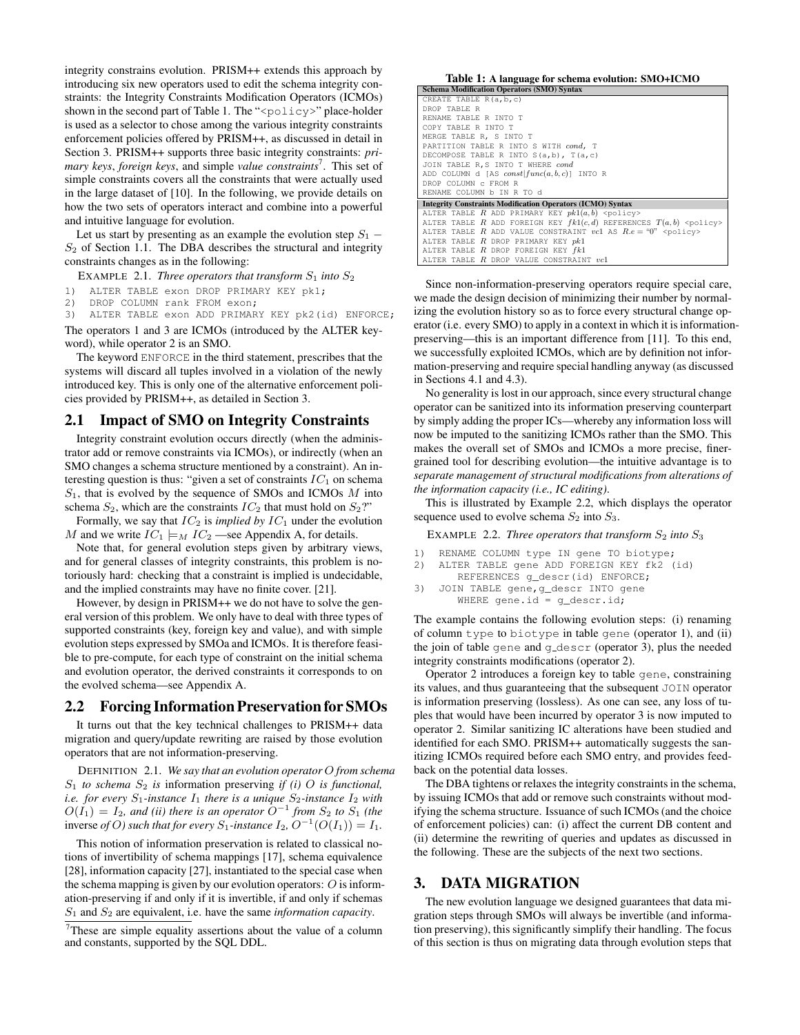integrity constrains evolution. PRISM++ extends this approach by introducing six new operators used to edit the schema integrity constraints: the Integrity Constraints Modification Operators (ICMOs) shown in the second part of Table 1. The "<policy>" place-holder is used as a selector to chose among the various integrity constraints enforcement policies offered by PRISM++, as discussed in detail in Section 3. PRISM++ supports three basic integrity constraints: *primary keys*, *foreign keys*, and simple *value constraints*<sup>7</sup> . This set of simple constraints covers all the constraints that were actually used in the large dataset of [10]. In the following, we provide details on how the two sets of operators interact and combine into a powerful and intuitive language for evolution.

Let us start by presenting as an example the evolution step  $S_1$  −  $S<sub>2</sub>$  of Section 1.1. The DBA describes the structural and integrity constraints changes as in the following:

EXAMPLE 2.1. *Three operators that transform*  $S_1$  *into*  $S_2$ 

1) ALTER TABLE exon DROP PRIMARY KEY pk1;

2) DROP COLUMN rank FROM exon;

3) ALTER TABLE exon ADD PRIMARY KEY pk2(id) ENFORCE;

The operators 1 and 3 are ICMOs (introduced by the ALTER keyword), while operator 2 is an SMO.

The keyword ENFORCE in the third statement, prescribes that the systems will discard all tuples involved in a violation of the newly introduced key. This is only one of the alternative enforcement policies provided by PRISM++, as detailed in Section 3.

#### 2.1 Impact of SMO on Integrity Constraints

Integrity constraint evolution occurs directly (when the administrator add or remove constraints via ICMOs), or indirectly (when an SMO changes a schema structure mentioned by a constraint). An interesting question is thus: "given a set of constraints  $IC_1$  on schema  $S_1$ , that is evolved by the sequence of SMOs and ICMOs  $M$  into schema  $S_2$ , which are the constraints  $IC_2$  that must hold on  $S_2$ ?"

Formally, we say that  $IC_2$  is *implied by*  $IC_1$  under the evolution M and we write  $IC_1 \models_M IC_2$  —see Appendix A, for details.

Note that, for general evolution steps given by arbitrary views, and for general classes of integrity constraints, this problem is notoriously hard: checking that a constraint is implied is undecidable, and the implied constraints may have no finite cover. [21].

However, by design in PRISM++ we do not have to solve the general version of this problem. We only have to deal with three types of supported constraints (key, foreign key and value), and with simple evolution steps expressed by SMOa and ICMOs. It is therefore feasible to pre-compute, for each type of constraint on the initial schema and evolution operator, the derived constraints it corresponds to on the evolved schema—see Appendix A.

#### 2.2 Forcing Information Preservation for SMOs

It turns out that the key technical challenges to PRISM++ data migration and query/update rewriting are raised by those evolution operators that are not information-preserving.

DEFINITION 2.1. *We say that an evolution operator* O *from schema*  $S_1$  *to schema*  $S_2$  *is* information preserving *if (i)* O *is functional, i.e. for every*  $S_1$ -instance  $I_1$  there is a unique  $S_2$ -instance  $I_2$  with  $O(I_1) = I_2$ , and *(ii)* there is an operator  $O^{-1}$  from  $S_2$  to  $S_1$  *(the* inverse *of* O) such that for every S<sub>1</sub>-instance  $I_2$ ,  $O^{-1}(O(I_1)) = I_1$ .

This notion of information preservation is related to classical notions of invertibility of schema mappings [17], schema equivalence [28], information capacity [27], instantiated to the special case when the schema mapping is given by our evolution operators:  $O$  is information-preserving if and only if it is invertible, if and only if schemas S<sup>1</sup> and S<sup>2</sup> are equivalent, i.e. have the same *information capacity*.

| Table 1: A language for schema evolution: SMO+ICMO |  |
|----------------------------------------------------|--|
| <b>Schema Modification Operators (SMO) Syntax</b>  |  |

Since non-information-preserving operators require special care, we made the design decision of minimizing their number by normalizing the evolution history so as to force every structural change operator (i.e. every SMO) to apply in a context in which it is informationpreserving—this is an important difference from [11]. To this end, we successfully exploited ICMOs, which are by definition not information-preserving and require special handling anyway (as discussed in Sections 4.1 and 4.3).

No generality is lost in our approach, since every structural change operator can be sanitized into its information preserving counterpart by simply adding the proper ICs—whereby any information loss will now be imputed to the sanitizing ICMOs rather than the SMO. This makes the overall set of SMOs and ICMOs a more precise, finergrained tool for describing evolution—the intuitive advantage is to *separate management of structural modifications from alterations of the information capacity (i.e., IC editing)*.

This is illustrated by Example 2.2, which displays the operator sequence used to evolve schema  $S_2$  into  $S_3$ .

EXAMPLE 2.2. *Three operators that transform*  $S_2$  *into*  $S_3$ 

```
1) RENAME COLUMN type IN gene TO biotype;
```
- 2) ALTER TABLE gene ADD FOREIGN KEY fk2 (id)
- REFERENCES g\_descr(id) ENFORCE; 3) JOIN TABLE gene,g\_descr INTO gene

```
WHERE gene.id = g_descr.id;
```
The example contains the following evolution steps: (i) renaming of column type to biotype in table gene (operator 1), and (ii) the join of table gene and  $g$ -descr (operator 3), plus the needed integrity constraints modifications (operator 2).

Operator 2 introduces a foreign key to table gene, constraining its values, and thus guaranteeing that the subsequent JOIN operator is information preserving (lossless). As one can see, any loss of tuples that would have been incurred by operator 3 is now imputed to operator 2. Similar sanitizing IC alterations have been studied and identified for each SMO. PRISM++ automatically suggests the sanitizing ICMOs required before each SMO entry, and provides feedback on the potential data losses.

The DBA tightens or relaxes the integrity constraints in the schema, by issuing ICMOs that add or remove such constraints without modifying the schema structure. Issuance of such ICMOs (and the choice of enforcement policies) can: (i) affect the current DB content and (ii) determine the rewriting of queries and updates as discussed in the following. These are the subjects of the next two sections.

# 3. DATA MIGRATION

The new evolution language we designed guarantees that data migration steps through SMOs will always be invertible (and information preserving), this significantly simplify their handling. The focus of this section is thus on migrating data through evolution steps that

<sup>7</sup>These are simple equality assertions about the value of a column and constants, supported by the SQL DDL.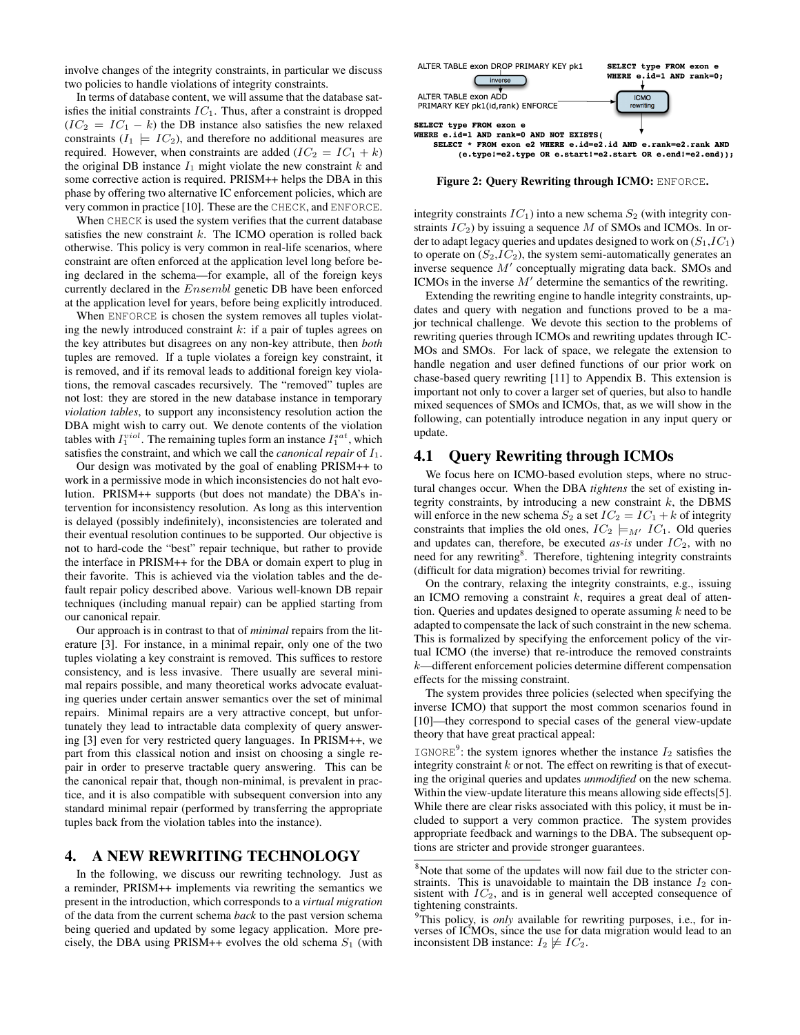involve changes of the integrity constraints, in particular we discuss two policies to handle violations of integrity constraints.

In terms of database content, we will assume that the database satisfies the initial constraints  $IC<sub>1</sub>$ . Thus, after a constraint is dropped  $(IC_2 = IC_1 - k)$  the DB instance also satisfies the new relaxed constraints  $(I_1 \models IC_2)$ , and therefore no additional measures are required. However, when constraints are added ( $IC_2 = IC_1 + k$ ) the original DB instance  $I_1$  might violate the new constraint  $k$  and some corrective action is required. PRISM++ helps the DBA in this phase by offering two alternative IC enforcement policies, which are very common in practice [10]. These are the CHECK, and ENFORCE.

When CHECK is used the system verifies that the current database satisfies the new constraint  $k$ . The ICMO operation is rolled back otherwise. This policy is very common in real-life scenarios, where constraint are often enforced at the application level long before being declared in the schema—for example, all of the foreign keys currently declared in the Ensembl genetic DB have been enforced at the application level for years, before being explicitly introduced.

When ENFORCE is chosen the system removes all tuples violating the newly introduced constraint  $k$ : if a pair of tuples agrees on the key attributes but disagrees on any non-key attribute, then *both* tuples are removed. If a tuple violates a foreign key constraint, it is removed, and if its removal leads to additional foreign key violations, the removal cascades recursively. The "removed" tuples are not lost: they are stored in the new database instance in temporary *violation tables*, to support any inconsistency resolution action the DBA might wish to carry out. We denote contents of the violation tables with  $I_1^{viol}$ . The remaining tuples form an instance  $I_1^{sat}$ , which satisfies the constraint, and which we call the *canonical repair* of  $I_1$ .

Our design was motivated by the goal of enabling PRISM++ to work in a permissive mode in which inconsistencies do not halt evolution. PRISM++ supports (but does not mandate) the DBA's intervention for inconsistency resolution. As long as this intervention is delayed (possibly indefinitely), inconsistencies are tolerated and their eventual resolution continues to be supported. Our objective is not to hard-code the "best" repair technique, but rather to provide the interface in PRISM++ for the DBA or domain expert to plug in their favorite. This is achieved via the violation tables and the default repair policy described above. Various well-known DB repair techniques (including manual repair) can be applied starting from our canonical repair.

Our approach is in contrast to that of *minimal* repairs from the literature [3]. For instance, in a minimal repair, only one of the two tuples violating a key constraint is removed. This suffices to restore consistency, and is less invasive. There usually are several minimal repairs possible, and many theoretical works advocate evaluating queries under certain answer semantics over the set of minimal repairs. Minimal repairs are a very attractive concept, but unfortunately they lead to intractable data complexity of query answering [3] even for very restricted query languages. In PRISM++, we part from this classical notion and insist on choosing a single repair in order to preserve tractable query answering. This can be the canonical repair that, though non-minimal, is prevalent in practice, and it is also compatible with subsequent conversion into any standard minimal repair (performed by transferring the appropriate tuples back from the violation tables into the instance).

## 4. A NEW REWRITING TECHNOLOGY

In the following, we discuss our rewriting technology. Just as a reminder, PRISM++ implements via rewriting the semantics we present in the introduction, which corresponds to a *virtual migration* of the data from the current schema *back* to the past version schema being queried and updated by some legacy application. More precisely, the DBA using PRISM++ evolves the old schema  $S_1$  (with



Figure 2: Query Rewriting through ICMO: ENFORCE.

integrity constraints  $IC_1$ ) into a new schema  $S_2$  (with integrity constraints  $IC_2$ ) by issuing a sequence M of SMOs and ICMOs. In order to adapt legacy queries and updates designed to work on  $(S_1,IC_1)$ to operate on  $(S_2, IC_2)$ , the system semi-automatically generates an inverse sequence  $M'$  conceptually migrating data back. SMOs and ICMOs in the inverse  $M'$  determine the semantics of the rewriting.

Extending the rewriting engine to handle integrity constraints, updates and query with negation and functions proved to be a major technical challenge. We devote this section to the problems of rewriting queries through ICMOs and rewriting updates through IC-MOs and SMOs. For lack of space, we relegate the extension to handle negation and user defined functions of our prior work on chase-based query rewriting [11] to Appendix B. This extension is important not only to cover a larger set of queries, but also to handle mixed sequences of SMOs and ICMOs, that, as we will show in the following, can potentially introduce negation in any input query or update.

# 4.1 Query Rewriting through ICMOs

We focus here on ICMO-based evolution steps, where no structural changes occur. When the DBA *tightens* the set of existing integrity constraints, by introducing a new constraint  $k$ , the DBMS will enforce in the new schema  $S_2$  a set  $IC_2 = IC_1 + k$  of integrity constraints that implies the old ones,  $IC_2 \models_{M'} IC_1$ . Old queries and updates can, therefore, be executed  $as-is$  under  $IC_2$ , with no need for any rewriting<sup>8</sup>. Therefore, tightening integrity constraints (difficult for data migration) becomes trivial for rewriting.

On the contrary, relaxing the integrity constraints, e.g., issuing an ICMO removing a constraint  $k$ , requires a great deal of attention. Queries and updates designed to operate assuming  $k$  need to be adapted to compensate the lack of such constraint in the new schema. This is formalized by specifying the enforcement policy of the virtual ICMO (the inverse) that re-introduce the removed constraints k—different enforcement policies determine different compensation effects for the missing constraint.

The system provides three policies (selected when specifying the inverse ICMO) that support the most common scenarios found in [10]—they correspond to special cases of the general view-update theory that have great practical appeal:

IGNORE<sup>9</sup>: the system ignores whether the instance  $I_2$  satisfies the integrity constraint  $k$  or not. The effect on rewriting is that of executing the original queries and updates *unmodified* on the new schema. Within the view-update literature this means allowing side effects[5]. While there are clear risks associated with this policy, it must be included to support a very common practice. The system provides appropriate feedback and warnings to the DBA. The subsequent options are stricter and provide stronger guarantees.

<sup>&</sup>lt;sup>8</sup>Note that some of the updates will now fail due to the stricter constraints. This is unavoidable to maintain the DB instance  $I_2$  consistent with  $IC_2$ , and is in general well accepted consequence of tightening constraints.

<sup>9</sup>This policy, is *only* available for rewriting purposes, i.e., for inverses of ICMOs, since the use for data migration would lead to an inconsistent DB instance:  $I_2 \not\models IC_2$ .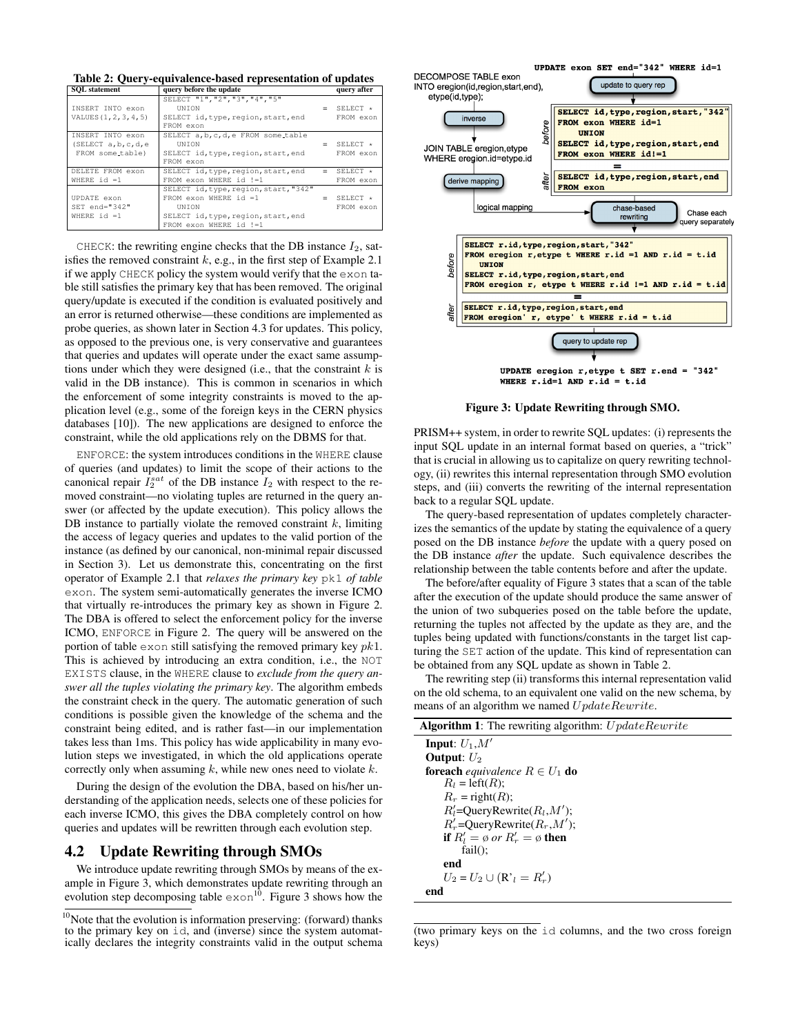Table 2: Query-equivalence-based representation of updates

| <b>SOL</b> statement    | query before the update               |         | query after    |
|-------------------------|---------------------------------------|---------|----------------|
|                         | SELECT "1", "2", "3", "4", "5"        |         |                |
| <b>INSERT INTO exon</b> | <b>UNTON</b>                          | $=$ $-$ | SELECT *       |
| VALUES (1, 2, 3, 4, 5)  | SELECT id, type, region, start, end   |         | FROM exon      |
|                         | FROM exon                             |         |                |
| INSERT INTO exon        | SELECT a, b, c, d, e FROM some_table  |         |                |
| (SELECT a, b, c, d, e)  | <b>UNTON</b>                          |         | SELECT *       |
| FROM some_table)        | SELECT id, type, region, start, end   |         | FROM exon      |
|                         | FROM exon                             |         |                |
| DELETE FROM exon        | SELECT id, type, region, start, end   |         | $=$ SELECT $*$ |
| WHERE id $=1$           | FROM exon WHERE id !=1                |         | FROM exon      |
|                         | SELECT id, type, region, start, "342" |         |                |
| UPDATE exon             | FROM exon WHERE id $=1$               | $=$ $-$ | SELECT *       |
| $SET end="342"$         | <b>UNTON</b>                          |         | FROM exon      |
| WHERE id $=1$           | SELECT id, type, region, start, end   |         |                |
|                         | FROM exon WHERE id !=1                |         |                |

CHECK: the rewriting engine checks that the DB instance  $I_2$ , satisfies the removed constraint  $k$ , e.g., in the first step of Example 2.1 if we apply CHECK policy the system would verify that the exon table still satisfies the primary key that has been removed. The original query/update is executed if the condition is evaluated positively and an error is returned otherwise—these conditions are implemented as probe queries, as shown later in Section 4.3 for updates. This policy, as opposed to the previous one, is very conservative and guarantees that queries and updates will operate under the exact same assumptions under which they were designed (i.e., that the constraint  $k$  is valid in the DB instance). This is common in scenarios in which the enforcement of some integrity constraints is moved to the application level (e.g., some of the foreign keys in the CERN physics databases [10]). The new applications are designed to enforce the constraint, while the old applications rely on the DBMS for that.

ENFORCE: the system introduces conditions in the WHERE clause of queries (and updates) to limit the scope of their actions to the canonical repair  $I_2^{sat}$  of the DB instance  $I_2$  with respect to the removed constraint—no violating tuples are returned in the query answer (or affected by the update execution). This policy allows the DB instance to partially violate the removed constraint  $k$ , limiting the access of legacy queries and updates to the valid portion of the instance (as defined by our canonical, non-minimal repair discussed in Section 3). Let us demonstrate this, concentrating on the first operator of Example 2.1 that *relaxes the primary key* pk1 *of table* exon. The system semi-automatically generates the inverse ICMO that virtually re-introduces the primary key as shown in Figure 2. The DBA is offered to select the enforcement policy for the inverse ICMO, ENFORCE in Figure 2. The query will be answered on the portion of table exon still satisfying the removed primary key  $pk1$ . This is achieved by introducing an extra condition, i.e., the NOT EXISTS clause, in the WHERE clause to *exclude from the query answer all the tuples violating the primary key*. The algorithm embeds the constraint check in the query. The automatic generation of such conditions is possible given the knowledge of the schema and the constraint being edited, and is rather fast—in our implementation takes less than 1ms. This policy has wide applicability in many evolution steps we investigated, in which the old applications operate correctly only when assuming  $k$ , while new ones need to violate  $k$ .

During the design of the evolution the DBA, based on his/her understanding of the application needs, selects one of these policies for each inverse ICMO, this gives the DBA completely control on how queries and updates will be rewritten through each evolution step.

### 4.2 Update Rewriting through SMOs

We introduce update rewriting through SMOs by means of the example in Figure 3, which demonstrates update rewriting through an evolution step decomposing table  $e$ xon<sup>10</sup>. Figure 3 shows how the



WHERE  $r$ .id=1 AND  $r$ .id = t.id

Figure 3: Update Rewriting through SMO.

PRISM++ system, in order to rewrite SQL updates: (i) represents the input SQL update in an internal format based on queries, a "trick" that is crucial in allowing us to capitalize on query rewriting technology, (ii) rewrites this internal representation through SMO evolution steps, and (iii) converts the rewriting of the internal representation back to a regular SQL update.

The query-based representation of updates completely characterizes the semantics of the update by stating the equivalence of a query posed on the DB instance *before* the update with a query posed on the DB instance *after* the update. Such equivalence describes the relationship between the table contents before and after the update.

The before/after equality of Figure 3 states that a scan of the table after the execution of the update should produce the same answer of the union of two subqueries posed on the table before the update, returning the tuples not affected by the update as they are, and the tuples being updated with functions/constants in the target list capturing the SET action of the update. This kind of representation can be obtained from any SQL update as shown in Table 2.

The rewriting step (ii) transforms this internal representation valid on the old schema, to an equivalent one valid on the new schema, by means of an algorithm we named  $UpdateRewrite$ .

| <b>Algorithm 1:</b> The rewriting algorithm: $UpdateRewrite$ |
|--------------------------------------------------------------|
| <b>Input:</b> $U_1, M'$                                      |
| Output: $U_2$                                                |
| <b>foreach</b> equivalence $R \in U_1$ <b>do</b>             |
| $R_i = \text{left}(R)$ :                                     |
| $R_r = right(R);$                                            |
| $R'_i$ =OueryRewrite $(R_i, M')$ ;                           |
| $R'_r$ =QueryRewrite $(R_r, M')$ ;                           |
| if $R'_l = \emptyset$ or $R'_r = \emptyset$ then             |
| $fail$ :                                                     |
| end                                                          |
| $U_2 = U_2 \cup (\mathbf{R'}_l = R'_r)$                      |
| end                                                          |

<sup>(</sup>two primary keys on the id columns, and the two cross foreign keys)

 $10$ Note that the evolution is information preserving: (forward) thanks to the primary key on id, and (inverse) since the system automatically declares the integrity constraints valid in the output schema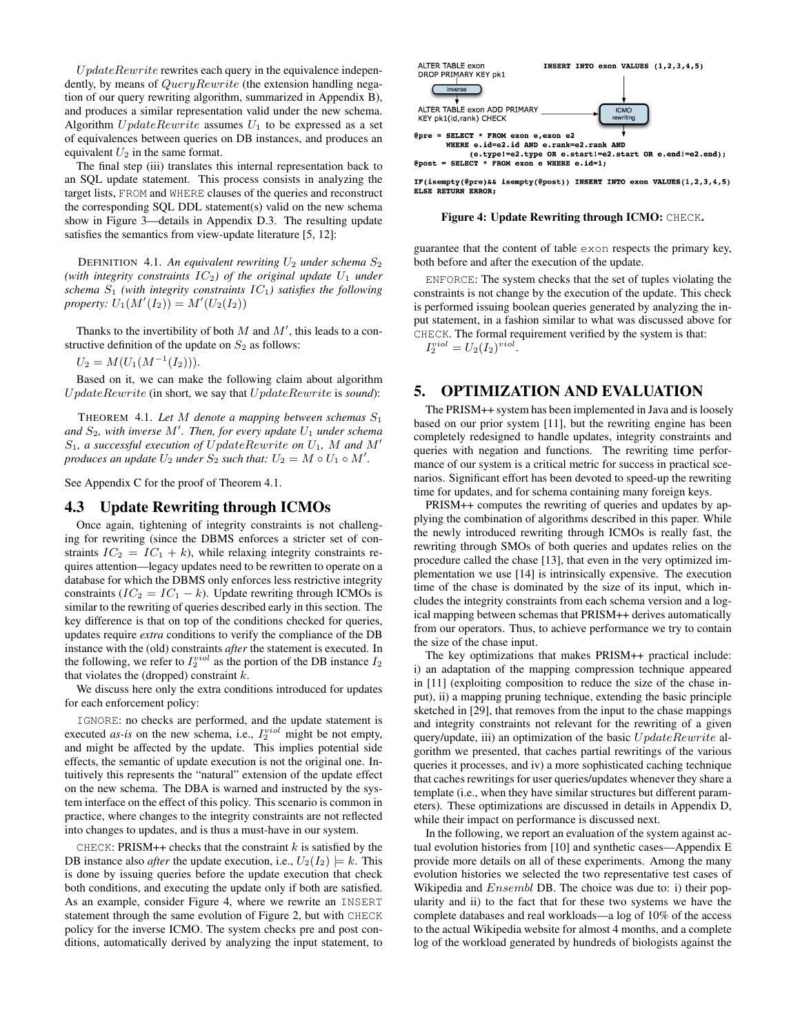$UpdateRewrite$  rewrites each query in the equivalence independently, by means of  $QueryRewrite$  (the extension handling negation of our query rewriting algorithm, summarized in Appendix B), and produces a similar representation valid under the new schema. Algorithm  $UpdateRewrite$  assumes  $U_1$  to be expressed as a set of equivalences between queries on DB instances, and produces an equivalent  $U_2$  in the same format.

The final step (iii) translates this internal representation back to an SQL update statement. This process consists in analyzing the target lists, FROM and WHERE clauses of the queries and reconstruct the corresponding SQL DDL statement(s) valid on the new schema show in Figure 3—details in Appendix D.3. The resulting update satisfies the semantics from view-update literature [5, 12]:

DEFINITION 4.1. An equivalent rewriting  $U_2$  under schema  $S_2$ *(with integrity constraints*  $IC_2$ *) of the original update*  $U_1$  *under schema*  $S_1$  *(with integrity constraints*  $IC_1$ *) satisfies the following property:*  $U_1(M'(I_2)) = M'(U_2(I_2))$ 

Thanks to the invertibility of both  $M$  and  $M'$ , this leads to a constructive definition of the update on  $S_2$  as follows:

 $U_2 = M(U_1(M^{-1}(I_2))).$ 

Based on it, we can make the following claim about algorithm U pdateRewrite (in short, we say that U pdateRewrite is *sound*):

THEOREM 4.1. *Let* M *denote a mapping between schemas* S<sup>1</sup> *and* S2*, with inverse* M<sup>0</sup> *. Then, for every update* U<sup>1</sup> *under schema*  $S_1$ , a successful execution of UpdateRewrite on  $U_1$ , M and M' *produces an update*  $U_2$  *under*  $S_2$  *such that:*  $U_2 = M \circ U_1 \circ M'$ .

See Appendix C for the proof of Theorem 4.1.

#### 4.3 Update Rewriting through ICMOs

Once again, tightening of integrity constraints is not challenging for rewriting (since the DBMS enforces a stricter set of constraints  $IC_2 = IC_1 + k$ , while relaxing integrity constraints requires attention—legacy updates need to be rewritten to operate on a database for which the DBMS only enforces less restrictive integrity constraints ( $IC_2 = IC_1 - k$ ). Update rewriting through ICMOs is similar to the rewriting of queries described early in this section. The key difference is that on top of the conditions checked for queries, updates require *extra* conditions to verify the compliance of the DB instance with the (old) constraints *after* the statement is executed. In the following, we refer to  $I_2^{viol}$  as the portion of the DB instance  $I_2$ that violates the (dropped) constraint  $k$ .

We discuss here only the extra conditions introduced for updates for each enforcement policy:

IGNORE: no checks are performed, and the update statement is executed *as-is* on the new schema, i.e.,  $I_2^{viol}$  might be not empty, and might be affected by the update. This implies potential side effects, the semantic of update execution is not the original one. Intuitively this represents the "natural" extension of the update effect on the new schema. The DBA is warned and instructed by the system interface on the effect of this policy. This scenario is common in practice, where changes to the integrity constraints are not reflected into changes to updates, and is thus a must-have in our system.

CHECK: PRISM++ checks that the constraint  $k$  is satisfied by the DB instance also *after* the update execution, i.e.,  $U_2(I_2) \models k$ . This is done by issuing queries before the update execution that check both conditions, and executing the update only if both are satisfied. As an example, consider Figure 4, where we rewrite an INSERT statement through the same evolution of Figure 2, but with CHECK policy for the inverse ICMO. The system checks pre and post conditions, automatically derived by analyzing the input statement, to



IF(isempty(@pre)&& isempty(@post)) INSERT INTO exon VALUES(1,2,3,4,5)<br>ELSE RETURN ERROR;

#### Figure 4: Update Rewriting through ICMO: CHECK.

guarantee that the content of table exon respects the primary key, both before and after the execution of the update.

ENFORCE: The system checks that the set of tuples violating the constraints is not change by the execution of the update. This check is performed issuing boolean queries generated by analyzing the input statement, in a fashion similar to what was discussed above for CHECK. The formal requirement verified by the system is that:

 $I_2^{viol} = U_2 (I_2)^{viol}.$ 

### 5. OPTIMIZATION AND EVALUATION

The PRISM++ system has been implemented in Java and is loosely based on our prior system [11], but the rewriting engine has been completely redesigned to handle updates, integrity constraints and queries with negation and functions. The rewriting time performance of our system is a critical metric for success in practical scenarios. Significant effort has been devoted to speed-up the rewriting time for updates, and for schema containing many foreign keys.

PRISM++ computes the rewriting of queries and updates by applying the combination of algorithms described in this paper. While the newly introduced rewriting through ICMOs is really fast, the rewriting through SMOs of both queries and updates relies on the procedure called the chase [13], that even in the very optimized implementation we use [14] is intrinsically expensive. The execution time of the chase is dominated by the size of its input, which includes the integrity constraints from each schema version and a logical mapping between schemas that PRISM++ derives automatically from our operators. Thus, to achieve performance we try to contain the size of the chase input.

The key optimizations that makes PRISM++ practical include: i) an adaptation of the mapping compression technique appeared in [11] (exploiting composition to reduce the size of the chase input), ii) a mapping pruning technique, extending the basic principle sketched in [29], that removes from the input to the chase mappings and integrity constraints not relevant for the rewriting of a given query/update, iii) an optimization of the basic  $UpdateRewrite$  algorithm we presented, that caches partial rewritings of the various queries it processes, and iv) a more sophisticated caching technique that caches rewritings for user queries/updates whenever they share a template (i.e., when they have similar structures but different parameters). These optimizations are discussed in details in Appendix D, while their impact on performance is discussed next.

In the following, we report an evaluation of the system against actual evolution histories from [10] and synthetic cases—Appendix E provide more details on all of these experiments. Among the many evolution histories we selected the two representative test cases of Wikipedia and *Ensembl* DB. The choice was due to: i) their popularity and ii) to the fact that for these two systems we have the complete databases and real workloads—a log of 10% of the access to the actual Wikipedia website for almost 4 months, and a complete log of the workload generated by hundreds of biologists against the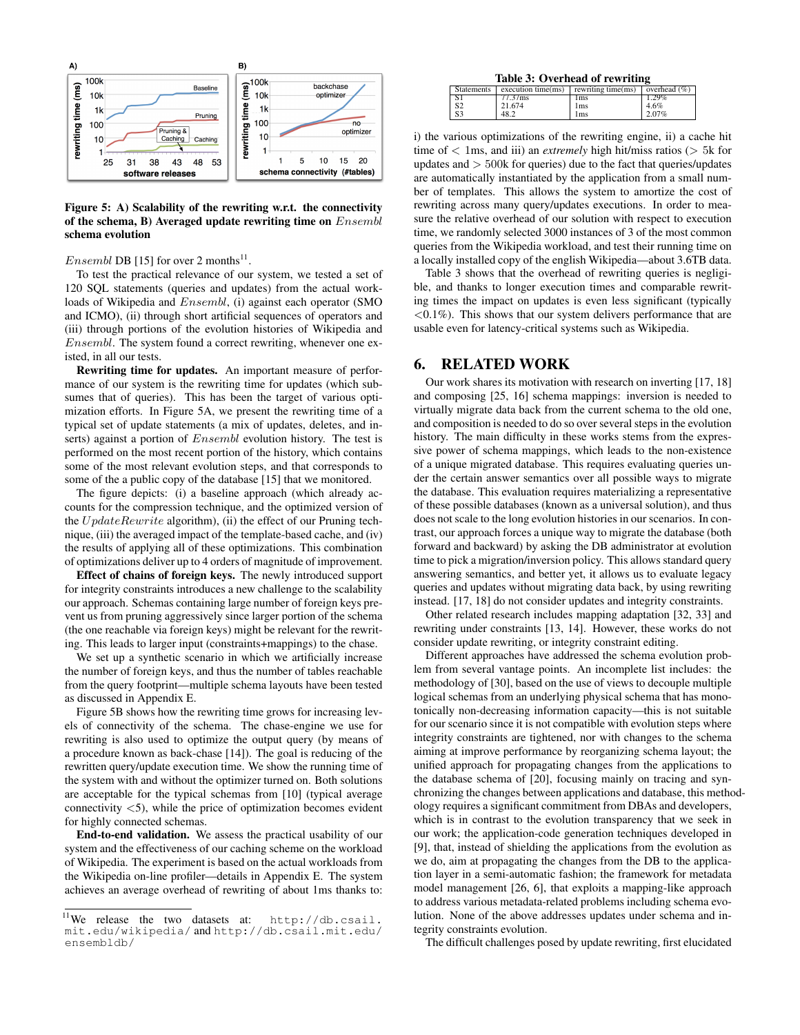

Figure 5: A) Scalability of the rewriting w.r.t. the connectivity of the schema, B) Averaged update rewriting time on  $Ensembl$ schema evolution

#### *Ensembl* DB [15] for over 2 months<sup>11</sup>.

To test the practical relevance of our system, we tested a set of 120 SQL statements (queries and updates) from the actual workloads of Wikipedia and *Ensembl*, (i) against each operator (SMO and ICMO), (ii) through short artificial sequences of operators and (iii) through portions of the evolution histories of Wikipedia and Ensembl. The system found a correct rewriting, whenever one existed, in all our tests.

Rewriting time for updates. An important measure of performance of our system is the rewriting time for updates (which subsumes that of queries). This has been the target of various optimization efforts. In Figure 5A, we present the rewriting time of a typical set of update statements (a mix of updates, deletes, and inserts) against a portion of  $Ensembl$  evolution history. The test is performed on the most recent portion of the history, which contains some of the most relevant evolution steps, and that corresponds to some of the a public copy of the database [15] that we monitored.

The figure depicts: (i) a baseline approach (which already accounts for the compression technique, and the optimized version of the  $UpdateRewrite$  algorithm), (ii) the effect of our Pruning technique, (iii) the averaged impact of the template-based cache, and (iv) the results of applying all of these optimizations. This combination of optimizations deliver up to 4 orders of magnitude of improvement.

Effect of chains of foreign keys. The newly introduced support for integrity constraints introduces a new challenge to the scalability our approach. Schemas containing large number of foreign keys prevent us from pruning aggressively since larger portion of the schema (the one reachable via foreign keys) might be relevant for the rewriting. This leads to larger input (constraints+mappings) to the chase.

We set up a synthetic scenario in which we artificially increase the number of foreign keys, and thus the number of tables reachable from the query footprint—multiple schema layouts have been tested as discussed in Appendix E.

Figure 5B shows how the rewriting time grows for increasing levels of connectivity of the schema. The chase-engine we use for rewriting is also used to optimize the output query (by means of a procedure known as back-chase [14]). The goal is reducing of the rewritten query/update execution time. We show the running time of the system with and without the optimizer turned on. Both solutions are acceptable for the typical schemas from [10] (typical average connectivity  $\langle 5 \rangle$ , while the price of optimization becomes evident for highly connected schemas.

End-to-end validation. We assess the practical usability of our system and the effectiveness of our caching scheme on the workload of Wikipedia. The experiment is based on the actual workloads from the Wikipedia on-line profiler—details in Appendix E. The system achieves an average overhead of rewriting of about 1ms thanks to:

| Table 3: Overhead of rewriting                    |  |  |
|---------------------------------------------------|--|--|
| sts execution time(ms) rewriting time(ms) overhea |  |  |

| Statements | execution time(ms) | rewriting time(ms) | overhead $(\% )$ |
|------------|--------------------|--------------------|------------------|
| S1         | 77.37ms            | 1ms                | 1.29%            |
| S2         | 21.674             | 1ms                | 4.6%             |
| S3         | 48.2               | 1ms                | 2.07%            |

i) the various optimizations of the rewriting engine, ii) a cache hit time of < 1ms, and iii) an *extremely* high hit/miss ratios (> 5k for updates and > 500k for queries) due to the fact that queries/updates are automatically instantiated by the application from a small number of templates. This allows the system to amortize the cost of rewriting across many query/updates executions. In order to measure the relative overhead of our solution with respect to execution time, we randomly selected 3000 instances of 3 of the most common queries from the Wikipedia workload, and test their running time on a locally installed copy of the english Wikipedia—about 3.6TB data.

Table 3 shows that the overhead of rewriting queries is negligible, and thanks to longer execution times and comparable rewriting times the impact on updates is even less significant (typically  $\langle 0.1\% \rangle$ . This shows that our system delivers performance that are usable even for latency-critical systems such as Wikipedia.

### 6. RELATED WORK

Our work shares its motivation with research on inverting [17, 18] and composing [25, 16] schema mappings: inversion is needed to virtually migrate data back from the current schema to the old one, and composition is needed to do so over several steps in the evolution history. The main difficulty in these works stems from the expressive power of schema mappings, which leads to the non-existence of a unique migrated database. This requires evaluating queries under the certain answer semantics over all possible ways to migrate the database. This evaluation requires materializing a representative of these possible databases (known as a universal solution), and thus does not scale to the long evolution histories in our scenarios. In contrast, our approach forces a unique way to migrate the database (both forward and backward) by asking the DB administrator at evolution time to pick a migration/inversion policy. This allows standard query answering semantics, and better yet, it allows us to evaluate legacy queries and updates without migrating data back, by using rewriting instead. [17, 18] do not consider updates and integrity constraints.

Other related research includes mapping adaptation [32, 33] and rewriting under constraints [13, 14]. However, these works do not consider update rewriting, or integrity constraint editing.

Different approaches have addressed the schema evolution problem from several vantage points. An incomplete list includes: the methodology of [30], based on the use of views to decouple multiple logical schemas from an underlying physical schema that has monotonically non-decreasing information capacity—this is not suitable for our scenario since it is not compatible with evolution steps where integrity constraints are tightened, nor with changes to the schema aiming at improve performance by reorganizing schema layout; the unified approach for propagating changes from the applications to the database schema of [20], focusing mainly on tracing and synchronizing the changes between applications and database, this methodology requires a significant commitment from DBAs and developers, which is in contrast to the evolution transparency that we seek in our work; the application-code generation techniques developed in [9], that, instead of shielding the applications from the evolution as we do, aim at propagating the changes from the DB to the application layer in a semi-automatic fashion; the framework for metadata model management [26, 6], that exploits a mapping-like approach to address various metadata-related problems including schema evolution. None of the above addresses updates under schema and integrity constraints evolution.

The difficult challenges posed by update rewriting, first elucidated

<sup>11</sup>We release the two datasets at: http://db.csail. mit.edu/wikipedia/ and http://db.csail.mit.edu/ ensembldb/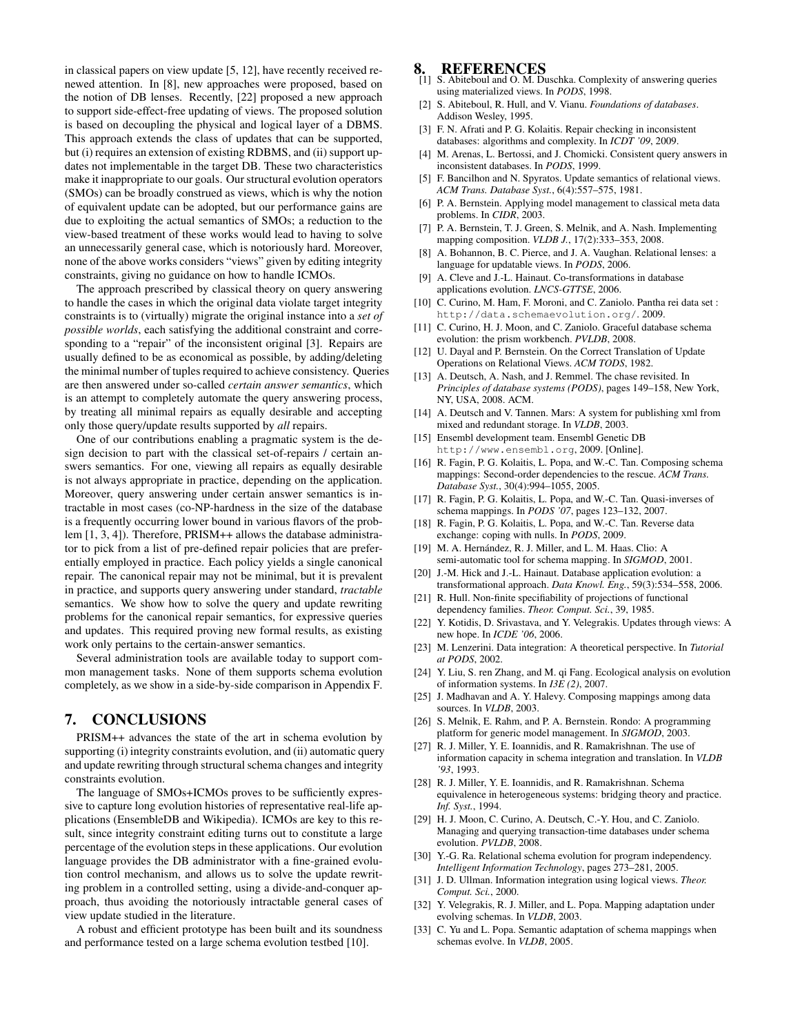in classical papers on view update [5, 12], have recently received renewed attention. In [8], new approaches were proposed, based on the notion of DB lenses. Recently, [22] proposed a new approach to support side-effect-free updating of views. The proposed solution is based on decoupling the physical and logical layer of a DBMS. This approach extends the class of updates that can be supported, but (i) requires an extension of existing RDBMS, and (ii) support updates not implementable in the target DB. These two characteristics make it inappropriate to our goals. Our structural evolution operators (SMOs) can be broadly construed as views, which is why the notion of equivalent update can be adopted, but our performance gains are due to exploiting the actual semantics of SMOs; a reduction to the view-based treatment of these works would lead to having to solve an unnecessarily general case, which is notoriously hard. Moreover, none of the above works considers "views" given by editing integrity constraints, giving no guidance on how to handle ICMOs.

The approach prescribed by classical theory on query answering to handle the cases in which the original data violate target integrity constraints is to (virtually) migrate the original instance into a *set of possible worlds*, each satisfying the additional constraint and corresponding to a "repair" of the inconsistent original [3]. Repairs are usually defined to be as economical as possible, by adding/deleting the minimal number of tuples required to achieve consistency. Queries are then answered under so-called *certain answer semantics*, which is an attempt to completely automate the query answering process, by treating all minimal repairs as equally desirable and accepting only those query/update results supported by *all* repairs.

One of our contributions enabling a pragmatic system is the design decision to part with the classical set-of-repairs / certain answers semantics. For one, viewing all repairs as equally desirable is not always appropriate in practice, depending on the application. Moreover, query answering under certain answer semantics is intractable in most cases (co-NP-hardness in the size of the database is a frequently occurring lower bound in various flavors of the problem [1, 3, 4]). Therefore, PRISM++ allows the database administrator to pick from a list of pre-defined repair policies that are preferentially employed in practice. Each policy yields a single canonical repair. The canonical repair may not be minimal, but it is prevalent in practice, and supports query answering under standard, *tractable* semantics. We show how to solve the query and update rewriting problems for the canonical repair semantics, for expressive queries and updates. This required proving new formal results, as existing work only pertains to the certain-answer semantics.

Several administration tools are available today to support common management tasks. None of them supports schema evolution completely, as we show in a side-by-side comparison in Appendix F.

# 7. CONCLUSIONS

PRISM++ advances the state of the art in schema evolution by supporting (i) integrity constraints evolution, and (ii) automatic query and update rewriting through structural schema changes and integrity constraints evolution.

The language of SMOs+ICMOs proves to be sufficiently expressive to capture long evolution histories of representative real-life applications (EnsembleDB and Wikipedia). ICMOs are key to this result, since integrity constraint editing turns out to constitute a large percentage of the evolution steps in these applications. Our evolution language provides the DB administrator with a fine-grained evolution control mechanism, and allows us to solve the update rewriting problem in a controlled setting, using a divide-and-conquer approach, thus avoiding the notoriously intractable general cases of view update studied in the literature.

A robust and efficient prototype has been built and its soundness and performance tested on a large schema evolution testbed [10].

#### 8. REFERENCES

- S. Abiteboul and O. M. Duschka. Complexity of answering queries using materialized views. In *PODS*, 1998.
- [2] S. Abiteboul, R. Hull, and V. Vianu. *Foundations of databases*. Addison Wesley, 1995.
- [3] F. N. Afrati and P. G. Kolaitis. Repair checking in inconsistent databases: algorithms and complexity. In *ICDT '09*, 2009.
- [4] M. Arenas, L. Bertossi, and J. Chomicki. Consistent query answers in inconsistent databases. In *PODS*, 1999.
- [5] F. Bancilhon and N. Spyratos. Update semantics of relational views. *ACM Trans. Database Syst.*, 6(4):557–575, 1981.
- [6] P. A. Bernstein. Applying model management to classical meta data problems. In *CIDR*, 2003.
- [7] P. A. Bernstein, T. J. Green, S. Melnik, and A. Nash. Implementing mapping composition. *VLDB J.*, 17(2):333–353, 2008.
- [8] A. Bohannon, B. C. Pierce, and J. A. Vaughan. Relational lenses: a language for updatable views. In *PODS*, 2006.
- [9] A. Cleve and J.-L. Hainaut. Co-transformations in database applications evolution. *LNCS-GTTSE*, 2006.
- [10] C. Curino, M. Ham, F. Moroni, and C. Zaniolo. Pantha rei data set : http://data.schemaevolution.org/. 2009.
- [11] C. Curino, H. J. Moon, and C. Zaniolo. Graceful database schema evolution: the prism workbench. *PVLDB*, 2008.
- [12] U. Dayal and P. Bernstein. On the Correct Translation of Update Operations on Relational Views. *ACM TODS*, 1982.
- [13] A. Deutsch, A. Nash, and J. Remmel. The chase revisited. In *Principles of database systems (PODS)*, pages 149–158, New York, NY, USA, 2008. ACM.
- [14] A. Deutsch and V. Tannen. Mars: A system for publishing xml from mixed and redundant storage. In *VLDB*, 2003.
- [15] Ensembl development team. Ensembl Genetic DB http://www.ensembl.org, 2009. [Online].
- [16] R. Fagin, P. G. Kolaitis, L. Popa, and W.-C. Tan. Composing schema mappings: Second-order dependencies to the rescue. *ACM Trans. Database Syst.*, 30(4):994–1055, 2005.
- [17] R. Fagin, P. G. Kolaitis, L. Popa, and W.-C. Tan. Quasi-inverses of schema mappings. In *PODS '07*, pages 123–132, 2007.
- [18] R. Fagin, P. G. Kolaitis, L. Popa, and W.-C. Tan. Reverse data exchange: coping with nulls. In *PODS*, 2009.
- [19] M. A. Hernández, R. J. Miller, and L. M. Haas. Clio: A semi-automatic tool for schema mapping. In *SIGMOD*, 2001.
- [20] J.-M. Hick and J.-L. Hainaut. Database application evolution: a transformational approach. *Data Knowl. Eng.*, 59(3):534–558, 2006.
- [21] R. Hull. Non-finite specifiability of projections of functional dependency families. *Theor. Comput. Sci.*, 39, 1985.
- [22] Y. Kotidis, D. Srivastava, and Y. Velegrakis. Updates through views: A new hope. In *ICDE '06*, 2006.
- [23] M. Lenzerini. Data integration: A theoretical perspective. In *Tutorial at PODS*, 2002.
- [24] Y. Liu, S. ren Zhang, and M. qi Fang. Ecological analysis on evolution of information systems. In *I3E (2)*, 2007.
- [25] J. Madhavan and A. Y. Halevy. Composing mappings among data sources. In *VLDB*, 2003.
- [26] S. Melnik, E. Rahm, and P. A. Bernstein. Rondo: A programming platform for generic model management. In *SIGMOD*, 2003.
- [27] R. J. Miller, Y. E. Ioannidis, and R. Ramakrishnan. The use of information capacity in schema integration and translation. In *VLDB '93*, 1993.
- [28] R. J. Miller, Y. E. Ioannidis, and R. Ramakrishnan. Schema equivalence in heterogeneous systems: bridging theory and practice. *Inf. Syst.*, 1994.
- [29] H. J. Moon, C. Curino, A. Deutsch, C.-Y. Hou, and C. Zaniolo. Managing and querying transaction-time databases under schema evolution. *PVLDB*, 2008.
- [30] Y.-G. Ra. Relational schema evolution for program independency. *Intelligent Information Technology*, pages 273–281, 2005.
- [31] J. D. Ullman. Information integration using logical views. *Theor. Comput. Sci.*, 2000.
- [32] Y. Velegrakis, R. J. Miller, and L. Popa. Mapping adaptation under evolving schemas. In *VLDB*, 2003.
- [33] C. Yu and L. Popa. Semantic adaptation of schema mappings when schemas evolve. In *VLDB*, 2005.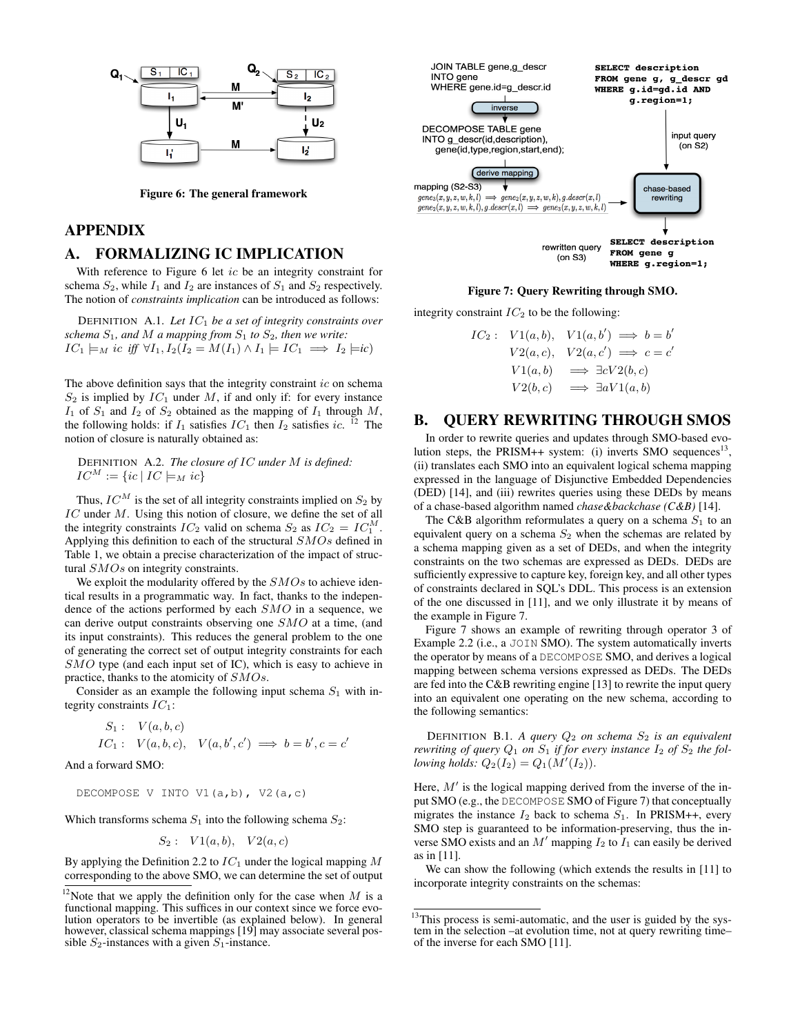

Figure 6: The general framework

# APPENDIX

# A. FORMALIZING IC IMPLICATION

With reference to Figure 6 let  $ic$  be an integrity constraint for schema  $S_2$ , while  $I_1$  and  $I_2$  are instances of  $S_1$  and  $S_2$  respectively. The notion of *constraints implication* can be introduced as follows:

DEFINITION A.1. Let IC<sub>1</sub> be a set of integrity constraints over *schema*  $S_1$ *, and*  $M$  *a mapping from*  $S_1$  *to*  $S_2$ *, then we write:*  $IC_1 \models_M ic$  *iff*  $\forall I_1, I_2(I_2 = M(I_1) \land I_1 \models IC_1 \implies I_2 \models ic)$ 

The above definition says that the integrity constraint  $ic$  on schema  $S_2$  is implied by  $IC_1$  under M, if and only if: for every instance  $I_1$  of  $S_1$  and  $I_2$  of  $S_2$  obtained as the mapping of  $I_1$  through  $M$ , the following holds: if  $I_1$  satisfies  $IC_1$  then  $I_2$  satisfies ic. <sup>12</sup> The notion of closure is naturally obtained as:

DEFINITION A.2. *The closure of* IC *under* M *is defined:*  $IC^M := \{ic \mid IC \models_M ic\}$ 

Thus,  $IC^M$  is the set of all integrity constraints implied on  $S_2$  by  $IC$  under  $M$ . Using this notion of closure, we define the set of all the integrity constraints  $IC_2$  valid on schema  $S_2$  as  $IC_2 = IC_1^M$ . Applying this definition to each of the structural SMOs defined in Table 1, we obtain a precise characterization of the impact of structural SMOs on integrity constraints.

We exploit the modularity offered by the  $SMOs$  to achieve identical results in a programmatic way. In fact, thanks to the independence of the actions performed by each SMO in a sequence, we can derive output constraints observing one SMO at a time, (and its input constraints). This reduces the general problem to the one of generating the correct set of output integrity constraints for each SMO type (and each input set of IC), which is easy to achieve in practice, thanks to the atomicity of SMOs.

Consider as an example the following input schema  $S_1$  with integrity constraints  $IC_1$ :

$$
S_1: V(a, b, c)
$$
  

$$
IC_1: V(a, b, c), V(a, b', c') \implies b = b', c = c'
$$

And a forward SMO:

DECOMPOSE V INTO V1 $(a, b)$ , V2 $(a, c)$ 

Which transforms schema  $S_1$  into the following schema  $S_2$ :

$$
S_2
$$
:  $V1(a, b)$ ,  $V2(a, c)$ 

By applying the Definition 2.2 to  $IC_1$  under the logical mapping M corresponding to the above SMO, we can determine the set of output



#### Figure 7: Query Rewriting through SMO.

integrity constraint  $IC_2$  to be the following:

 $IC_2: V1(a, b), V1(a, b') \implies b = b'$  $V2(a, c), \quad V2(a, c') \implies c = c'$  $V1(a, b) \implies \exists cV2(b, c)$  $V2(b, c) \implies \exists aV1(a, b)$ 

# B. QUERY REWRITING THROUGH SMOS

In order to rewrite queries and updates through SMO-based evolution steps, the PRISM++ system: (i) inverts SMO sequences<sup>13</sup>, (ii) translates each SMO into an equivalent logical schema mapping expressed in the language of Disjunctive Embedded Dependencies (DED) [14], and (iii) rewrites queries using these DEDs by means of a chase-based algorithm named *chase&backchase (C&B)* [14].

The C&B algorithm reformulates a query on a schema  $S_1$  to an equivalent query on a schema  $S_2$  when the schemas are related by a schema mapping given as a set of DEDs, and when the integrity constraints on the two schemas are expressed as DEDs. DEDs are sufficiently expressive to capture key, foreign key, and all other types of constraints declared in SQL's DDL. This process is an extension of the one discussed in [11], and we only illustrate it by means of the example in Figure 7.

Figure 7 shows an example of rewriting through operator 3 of Example 2.2 (i.e., a JOIN SMO). The system automatically inverts the operator by means of a DECOMPOSE SMO, and derives a logical mapping between schema versions expressed as DEDs. The DEDs are fed into the C&B rewriting engine [13] to rewrite the input query into an equivalent one operating on the new schema, according to the following semantics:

DEFINITION B.1. A query  $Q_2$  *on schema*  $S_2$  *is an equivalent rewriting of query*  $Q_1$  *on*  $S_1$  *if for every instance*  $I_2$  *of*  $S_2$  *the following holds:*  $Q_2(I_2) = Q_1(M'(I_2)).$ 

Here,  $M'$  is the logical mapping derived from the inverse of the input SMO (e.g., the DECOMPOSE SMO of Figure 7) that conceptually migrates the instance  $I_2$  back to schema  $S_1$ . In PRISM++, every SMO step is guaranteed to be information-preserving, thus the inverse SMO exists and an  $M'$  mapping  $I_2$  to  $I_1$  can easily be derived as in [11].

We can show the following (which extends the results in [11] to incorporate integrity constraints on the schemas:

<sup>&</sup>lt;sup>12</sup>Note that we apply the definition only for the case when  $M$  is a functional mapping. This suffices in our context since we force evolution operators to be invertible (as explained below). In general however, classical schema mappings [19] may associate several possible  $S_2$ -instances with a given  $S_1$ -instance.

<sup>&</sup>lt;sup>13</sup>This process is semi-automatic, and the user is guided by the system in the selection –at evolution time, not at query rewriting time– of the inverse for each SMO [11].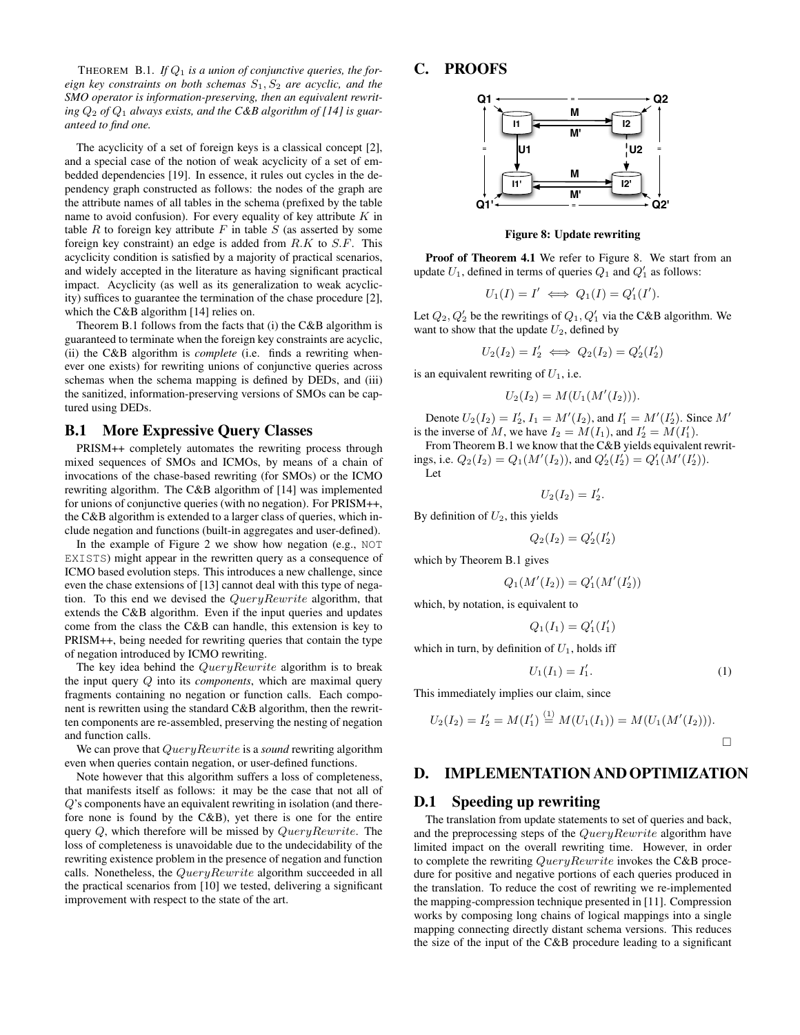THEOREM B.1. If  $Q_1$  is a union of conjunctive queries, the for*eign key constraints on both schemas*  $S_1, S_2$  *are acyclic, and the SMO operator is information-preserving, then an equivalent rewriting* Q<sup>2</sup> *of* Q<sup>1</sup> *always exists, and the C&B algorithm of [14] is guaranteed to find one.*

The acyclicity of a set of foreign keys is a classical concept [2], and a special case of the notion of weak acyclicity of a set of embedded dependencies [19]. In essence, it rules out cycles in the dependency graph constructed as follows: the nodes of the graph are the attribute names of all tables in the schema (prefixed by the table name to avoid confusion). For every equality of key attribute  $K$  in table  $R$  to foreign key attribute  $F$  in table  $S$  (as asserted by some foreign key constraint) an edge is added from  $R.K$  to  $S.F$ . This acyclicity condition is satisfied by a majority of practical scenarios, and widely accepted in the literature as having significant practical impact. Acyclicity (as well as its generalization to weak acyclicity) suffices to guarantee the termination of the chase procedure [2], which the C&B algorithm [14] relies on.

Theorem B.1 follows from the facts that (i) the C&B algorithm is guaranteed to terminate when the foreign key constraints are acyclic, (ii) the C&B algorithm is *complete* (i.e. finds a rewriting whenever one exists) for rewriting unions of conjunctive queries across schemas when the schema mapping is defined by DEDs, and (iii) the sanitized, information-preserving versions of SMOs can be captured using DEDs.

# B.1 More Expressive Query Classes

PRISM++ completely automates the rewriting process through mixed sequences of SMOs and ICMOs, by means of a chain of invocations of the chase-based rewriting (for SMOs) or the ICMO rewriting algorithm. The C&B algorithm of [14] was implemented for unions of conjunctive queries (with no negation). For PRISM++, the C&B algorithm is extended to a larger class of queries, which include negation and functions (built-in aggregates and user-defined).

In the example of Figure 2 we show how negation (e.g., NOT EXISTS) might appear in the rewritten query as a consequence of ICMO based evolution steps. This introduces a new challenge, since even the chase extensions of [13] cannot deal with this type of negation. To this end we devised the  $QueryRewrite$  algorithm, that extends the C&B algorithm. Even if the input queries and updates come from the class the C&B can handle, this extension is key to PRISM++, being needed for rewriting queries that contain the type of negation introduced by ICMO rewriting.

The key idea behind the  $QueryRewrite$  algorithm is to break the input query Q into its *components*, which are maximal query fragments containing no negation or function calls. Each component is rewritten using the standard C&B algorithm, then the rewritten components are re-assembled, preserving the nesting of negation and function calls.

We can prove that QueryRewrite is a *sound* rewriting algorithm even when queries contain negation, or user-defined functions.

Note however that this algorithm suffers a loss of completeness, that manifests itself as follows: it may be the case that not all of Q's components have an equivalent rewriting in isolation (and therefore none is found by the C&B), yet there is one for the entire query  $Q$ , which therefore will be missed by  $QueryRewrite$ . The loss of completeness is unavoidable due to the undecidability of the rewriting existence problem in the presence of negation and function calls. Nonetheless, the QueryRewrite algorithm succeeded in all the practical scenarios from [10] we tested, delivering a significant improvement with respect to the state of the art.

## C. PROOFS



Figure 8: Update rewriting

Proof of Theorem 4.1 We refer to Figure 8. We start from an update  $U_1$ , defined in terms of queries  $Q_1$  and  $Q'_1$  as follows:

$$
U_1(I) = I' \iff Q_1(I) = Q'_1(I').
$$

Let  $Q_2, Q'_2$  be the rewritings of  $Q_1, Q'_1$  via the C&B algorithm. We want to show that the update  $U_2$ , defined by

$$
U_2(I_2) = I_2' \iff Q_2(I_2) = Q_2'(I_2')
$$

is an equivalent rewriting of  $U_1$ , i.e.

$$
U_2(I_2) = M(U_1(M'(I_2))).
$$

Denote  $U_2(I_2) = I'_2$ ,  $I_1 = M'(I_2)$ , and  $I'_1 = M'(I'_2)$ . Since M' is the inverse of M, we have  $I_2 = M(I_1)$ , and  $I_2 = M(I_1')$ .

From Theorem B.1 we know that the C&B yields equivalent rewritings, i.e.  $Q_2(I_2) = Q_1(M'(I_2))$ , and  $Q'_2(I'_2) = Q'_1(M'(I'_2))$ . Let

$$
U_2(I_2)=I'_2.
$$

By definition of  $U_2$ , this yields

$$
Q_2(I_2)=Q_2'(I_2')
$$

which by Theorem B.1 gives

$$
Q_1(M'(I_2)) = Q'_1(M'(I'_2))
$$

which, by notation, is equivalent to

$$
Q_1(I_1)=Q_1'(I_1')
$$

which in turn, by definition of  $U_1$ , holds iff

$$
U_1(I_1) = I'_1.
$$
 (1)

This immediately implies our claim, since

$$
U_2(I_2) = I_2' = M(I_1') \stackrel{(1)}{=} M(U_1(I_1)) = M(U_1(M'(I_2))).
$$

# D. IMPLEMENTATION AND OPTIMIZATION

# D.1 Speeding up rewriting

The translation from update statements to set of queries and back, and the preprocessing steps of the QueryRewrite algorithm have limited impact on the overall rewriting time. However, in order to complete the rewriting QueryRewrite invokes the C&B procedure for positive and negative portions of each queries produced in the translation. To reduce the cost of rewriting we re-implemented the mapping-compression technique presented in [11]. Compression works by composing long chains of logical mappings into a single mapping connecting directly distant schema versions. This reduces the size of the input of the C&B procedure leading to a significant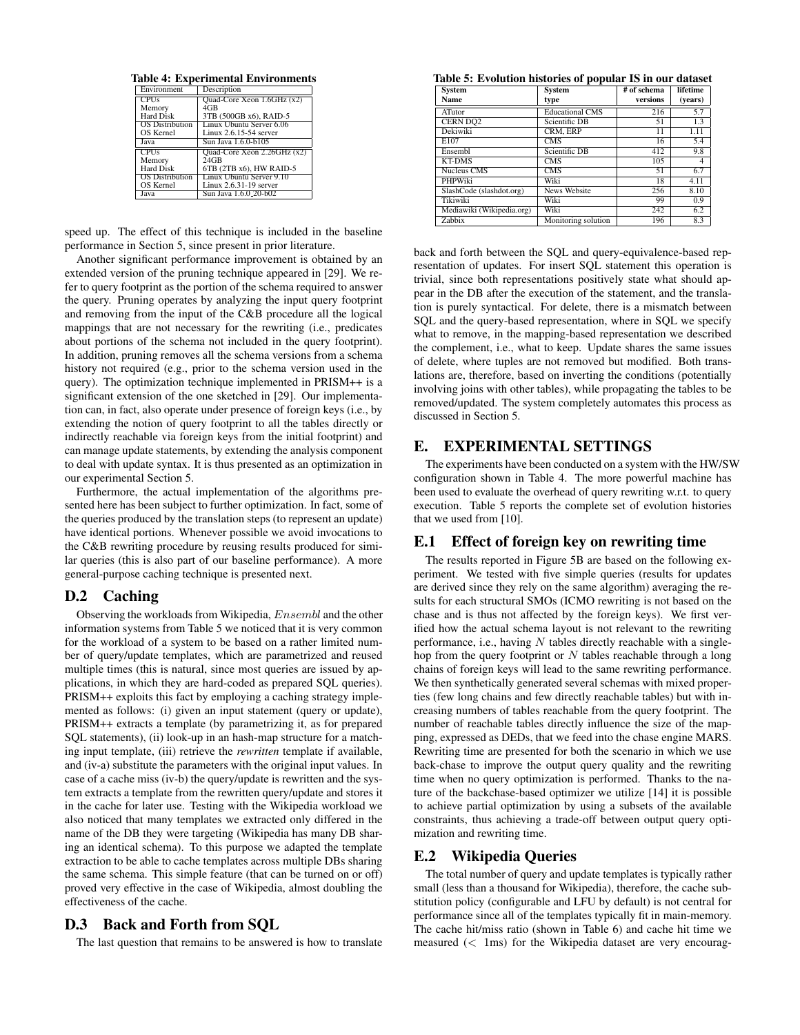Table 4: Experimental Environments

| Environment            | Description                 |
|------------------------|-----------------------------|
| <b>CPUs</b>            | Quad-Core Xeon 1.6GHz (x2)  |
| Memory                 | $4G$ B                      |
| Hard Disk              | 3TB (500GB x6), RAID-5      |
| <b>OS Distribution</b> | Linux Ubuntu Server 6.06    |
| OS Kernel              | Linux $2.6.15 - 54$ server  |
| Java                   | Sun Java 1.6.0-b105         |
| <b>CPUs</b>            | Quad-Core Xeon 2.26GHz (x2) |
| Memory                 | $24$ GB                     |
| Hard Disk              | 6TB (2TB x6), HW RAID-5     |
| <b>OS</b> Distribution | Linux Ubuntu Server 9.10    |
| OS Kernel              | Linux $2.6.31-19$ server    |
| Java                   | Sun Java 1.6.0_20-b02       |

speed up. The effect of this technique is included in the baseline performance in Section 5, since present in prior literature.

Another significant performance improvement is obtained by an extended version of the pruning technique appeared in [29]. We refer to query footprint as the portion of the schema required to answer the query. Pruning operates by analyzing the input query footprint and removing from the input of the C&B procedure all the logical mappings that are not necessary for the rewriting (i.e., predicates about portions of the schema not included in the query footprint). In addition, pruning removes all the schema versions from a schema history not required (e.g., prior to the schema version used in the query). The optimization technique implemented in PRISM++ is a significant extension of the one sketched in [29]. Our implementation can, in fact, also operate under presence of foreign keys (i.e., by extending the notion of query footprint to all the tables directly or indirectly reachable via foreign keys from the initial footprint) and can manage update statements, by extending the analysis component to deal with update syntax. It is thus presented as an optimization in our experimental Section 5.

Furthermore, the actual implementation of the algorithms presented here has been subject to further optimization. In fact, some of the queries produced by the translation steps (to represent an update) have identical portions. Whenever possible we avoid invocations to the C&B rewriting procedure by reusing results produced for similar queries (this is also part of our baseline performance). A more general-purpose caching technique is presented next.

# D.2 Caching

Observing the workloads from Wikipedia, Ensembl and the other information systems from Table 5 we noticed that it is very common for the workload of a system to be based on a rather limited number of query/update templates, which are parametrized and reused multiple times (this is natural, since most queries are issued by applications, in which they are hard-coded as prepared SQL queries). PRISM++ exploits this fact by employing a caching strategy implemented as follows: (i) given an input statement (query or update), PRISM++ extracts a template (by parametrizing it, as for prepared SQL statements), (ii) look-up in an hash-map structure for a matching input template, (iii) retrieve the *rewritten* template if available, and (iv-a) substitute the parameters with the original input values. In case of a cache miss (iv-b) the query/update is rewritten and the system extracts a template from the rewritten query/update and stores it in the cache for later use. Testing with the Wikipedia workload we also noticed that many templates we extracted only differed in the name of the DB they were targeting (Wikipedia has many DB sharing an identical schema). To this purpose we adapted the template extraction to be able to cache templates across multiple DBs sharing the same schema. This simple feature (that can be turned on or off) proved very effective in the case of Wikipedia, almost doubling the effectiveness of the cache.

# D.3 Back and Forth from SQL

The last question that remains to be answered is how to translate

Table 5: Evolution histories of popular IS in our dataset

| <b>System</b>             | <b>System</b>       | # of schema      | lifetime |
|---------------------------|---------------------|------------------|----------|
| <b>Name</b>               | type                | versions         | (vears)  |
| ATutor                    | Educational CMS     | $\overline{216}$ | 5.7      |
| CERN DO <sub>2</sub>      | Scientific DB       | 51               | 1.3      |
| Dekiwiki                  | CRM. ERP            | 11               | 1.11     |
| E107                      | <b>CMS</b>          | 16               | 5.4      |
| Ensembl                   | Scientific DB       | 412              | 9.8      |
| <b>KT-DMS</b>             | <b>CMS</b>          | 105              | 4        |
| Nucleus CMS               | <b>CMS</b>          | 51               | 6.7      |
| PHPWiki                   | Wiki                | 18               | 4.11     |
| SlashCode (slashdot.org)  | News Website        | 256              | 8.10     |
| <b>Tikiwiki</b>           | Wiki                | 99               | 0.9      |
| Mediawiki (Wikipedia.org) | Wiki                | 242              | 6.2      |
| <b>Zabbix</b>             | Monitoring solution | 196              | 8.3      |

back and forth between the SQL and query-equivalence-based representation of updates. For insert SQL statement this operation is trivial, since both representations positively state what should appear in the DB after the execution of the statement, and the translation is purely syntactical. For delete, there is a mismatch between SQL and the query-based representation, where in SQL we specify what to remove, in the mapping-based representation we described the complement, i.e., what to keep. Update shares the same issues of delete, where tuples are not removed but modified. Both translations are, therefore, based on inverting the conditions (potentially involving joins with other tables), while propagating the tables to be removed/updated. The system completely automates this process as discussed in Section 5.

# E. EXPERIMENTAL SETTINGS

The experiments have been conducted on a system with the HW/SW configuration shown in Table 4. The more powerful machine has been used to evaluate the overhead of query rewriting w.r.t. to query execution. Table 5 reports the complete set of evolution histories that we used from [10].

# E.1 Effect of foreign key on rewriting time

The results reported in Figure 5B are based on the following experiment. We tested with five simple queries (results for updates are derived since they rely on the same algorithm) averaging the results for each structural SMOs (ICMO rewriting is not based on the chase and is thus not affected by the foreign keys). We first verified how the actual schema layout is not relevant to the rewriting performance, i.e., having  $N$  tables directly reachable with a singlehop from the query footprint or  $N$  tables reachable through a long chains of foreign keys will lead to the same rewriting performance. We then synthetically generated several schemas with mixed properties (few long chains and few directly reachable tables) but with increasing numbers of tables reachable from the query footprint. The number of reachable tables directly influence the size of the mapping, expressed as DEDs, that we feed into the chase engine MARS. Rewriting time are presented for both the scenario in which we use back-chase to improve the output query quality and the rewriting time when no query optimization is performed. Thanks to the nature of the backchase-based optimizer we utilize [14] it is possible to achieve partial optimization by using a subsets of the available constraints, thus achieving a trade-off between output query optimization and rewriting time.

# E.2 Wikipedia Queries

The total number of query and update templates is typically rather small (less than a thousand for Wikipedia), therefore, the cache substitution policy (configurable and LFU by default) is not central for performance since all of the templates typically fit in main-memory. The cache hit/miss ratio (shown in Table 6) and cache hit time we measured (< 1ms) for the Wikipedia dataset are very encourag-